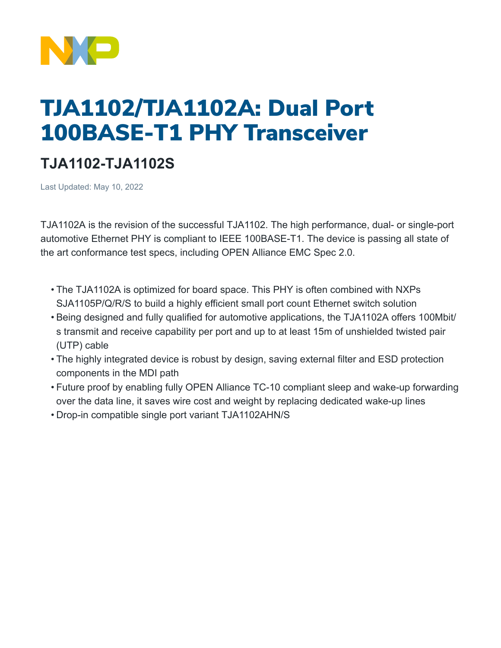

## TJA1102/TJA1102A: Dual Port 100BASE-T1 PHY Transceiver

## **TJA1102-TJA1102S**

Last Updated: May 10, 2022

TJA1102A is the revision of the successful TJA1102. The high performance, dual- or single-port automotive Ethernet PHY is compliant to IEEE 100BASE-T1. The device is passing all state of the art conformance test specs, including OPEN Alliance EMC Spec 2.0.

- The TJA1102A is optimized for board space. This PHY is often combined with NXPs SJA1105P/Q/R/S to build a highly efficient small port count Ethernet switch solution
- Being designed and fully qualified for automotive applications, the TJA1102A offers 100Mbit/ s transmit and receive capability per port and up to at least 15m of unshielded twisted pair (UTP) cable
- The highly integrated device is robust by design, saving external filter and ESD protection components in the MDI path
- Future proof by enabling fully OPEN Alliance TC-10 compliant sleep and wake-up forwarding over the data line, it saves wire cost and weight by replacing dedicated wake-up lines
- Drop-in compatible single port variant TJA1102AHN/S